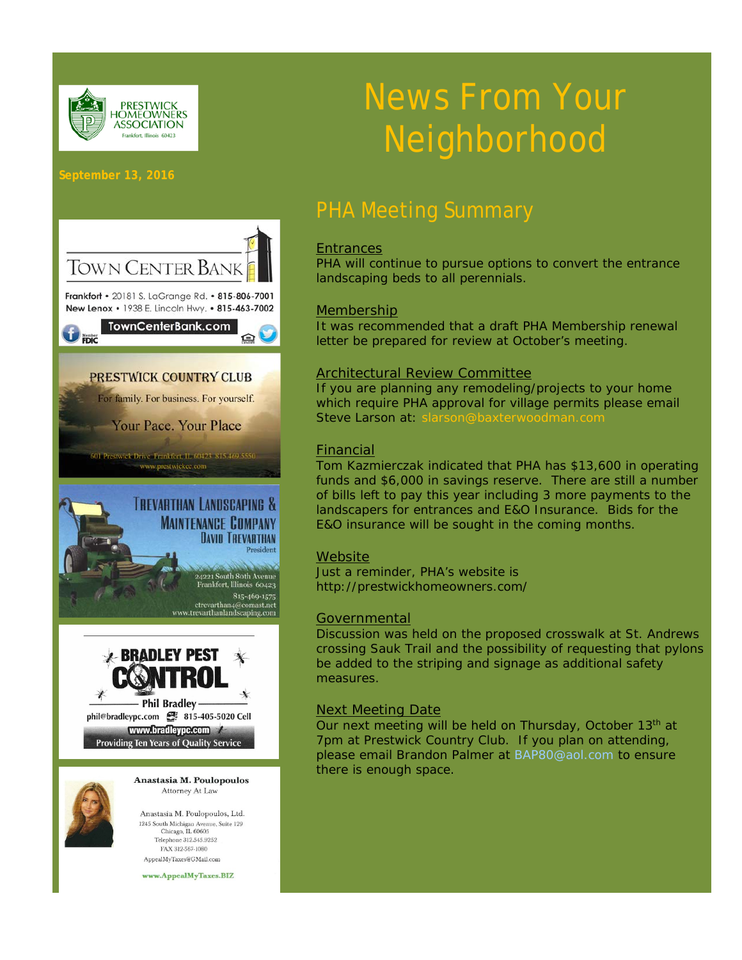

# News From Your Neighborhood

#### **September 13, 2016**



Anastasia M. Poulopoulos, Ltd. 1245 South Michigan Avenue, Suite 129 Chicago, IL 60605 Telephone 312.545.9252 FAX 312-567-1080 AppealMyTaxes@GMail.com

www.AppealMyTaxes.BIZ

# PHA Meeting Summary

#### **Entrances**

PHA will continue to pursue options to convert the entrance landscaping beds to all perennials.

#### Membership

It was recommended that a draft PHA Membership renewal letter be prepared for review at October's meeting.

#### Architectural Review Committee

If you are planning any remodeling/projects to your home which require PHA approval for village permits please email Steve Larson at: slarson@baxterwoodman.com

#### Financial

Tom Kazmierczak indicated that PHA has \$13,600 in operating funds and \$6,000 in savings reserve. There are still a number of bills left to pay this year including 3 more payments to the landscapers for entrances and E&O Insurance. Bids for the E&O insurance will be sought in the coming months.

#### **Website**

Just a reminder, PHA's website is http://prestwickhomeowners.com/

#### **Governmental**

Discussion was held on the proposed crosswalk at St. Andrews crossing Sauk Trail and the possibility of requesting that pylons be added to the striping and signage as additional safety measures.

#### Next Meeting Date

Our next meeting will be held on Thursday, October 13th at 7pm at Prestwick Country Club. If you plan on attending, please email Brandon Palmer at BAP80@aol.com to ensure there is enough space.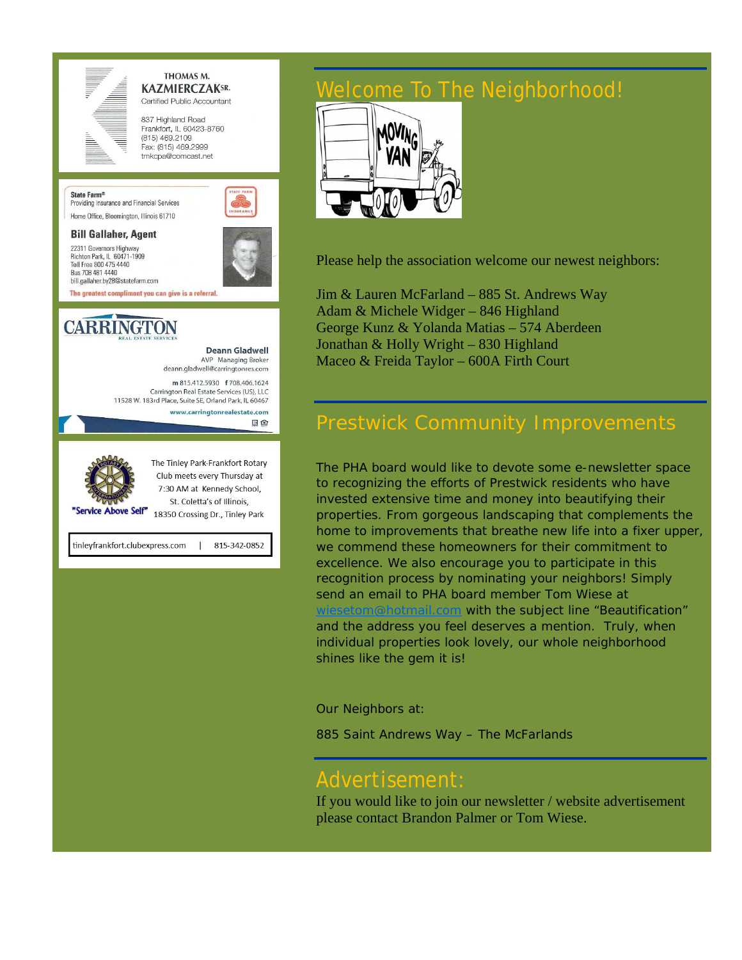

THOMAS M. **KAZMIERCZAKSR.** Certified Public Accountant

837 Highland Road Frankfort, IL 60423-8760  $(815)$  469.2109 Fax: (815) 469,2999 tmkcpa@comcast.net



Providing Insurance and Financial Services Home Office, Bloomington, Illinois 61710

#### **Bill Gallaher, Agent**

22311 Governors Highway Richton Park, IL 60471-1909 Toll Free 800 475 4440 Bus 708 481 4440 bill.gallaher.by28@statefarm.com



# **CARRINGTON**

**Deann Gladwell** AVP Managing Broker deann.gladwell@carringtonres.com m 815.412.5930 f 708.406.1624 Carrington Real Estate Services (US), LLC 11528 W. 183rd Place, Suite SE, Orland Park, IL 60467 www.carringtonrealestate.com 国金 The Tinley Park-Frankfort Rotary Club meets every Thursday at 7:30 AM at Kennedy School, St. Coletta's of Illinois, "Service Above Self" 18350 Crossing Dr., Tinley Park

tinleyfrankfort.clubexpress.com 815-342-0852

# 'elcome To The Neighborhood!



Please help the association welcome our newest neighbors:

Jim & Lauren McFarland – 885 St. Andrews Way Adam & Michele Widger – 846 Highland George Kunz & Yolanda Matias – 574 Aberdeen Jonathan & Holly Wright – 830 Highland Maceo & Freida Taylor – 600A Firth Court

## Prestwick Community Improvements

The PHA board would like to devote some e-newsletter space to recognizing the efforts of Prestwick residents who have invested extensive time and money into beautifying their properties. From gorgeous landscaping that complements the home to improvements that breathe new life into a fixer upper, we commend these homeowners for their commitment to excellence. We also encourage you to participate in this recognition process by nominating your neighbors! Simply send an email to PHA board member Tom Wiese at wiesetom@hotmail.com with the subject line "Beautification" and the address you feel deserves a mention. Truly, when individual properties look lovely, our whole neighborhood shines like the gem it is!

#### Our Neighbors at:

885 Saint Andrews Way – The McFarlands

### Advertisement:

If you would like to join our newsletter / website advertisement please contact Brandon Palmer or Tom Wiese.